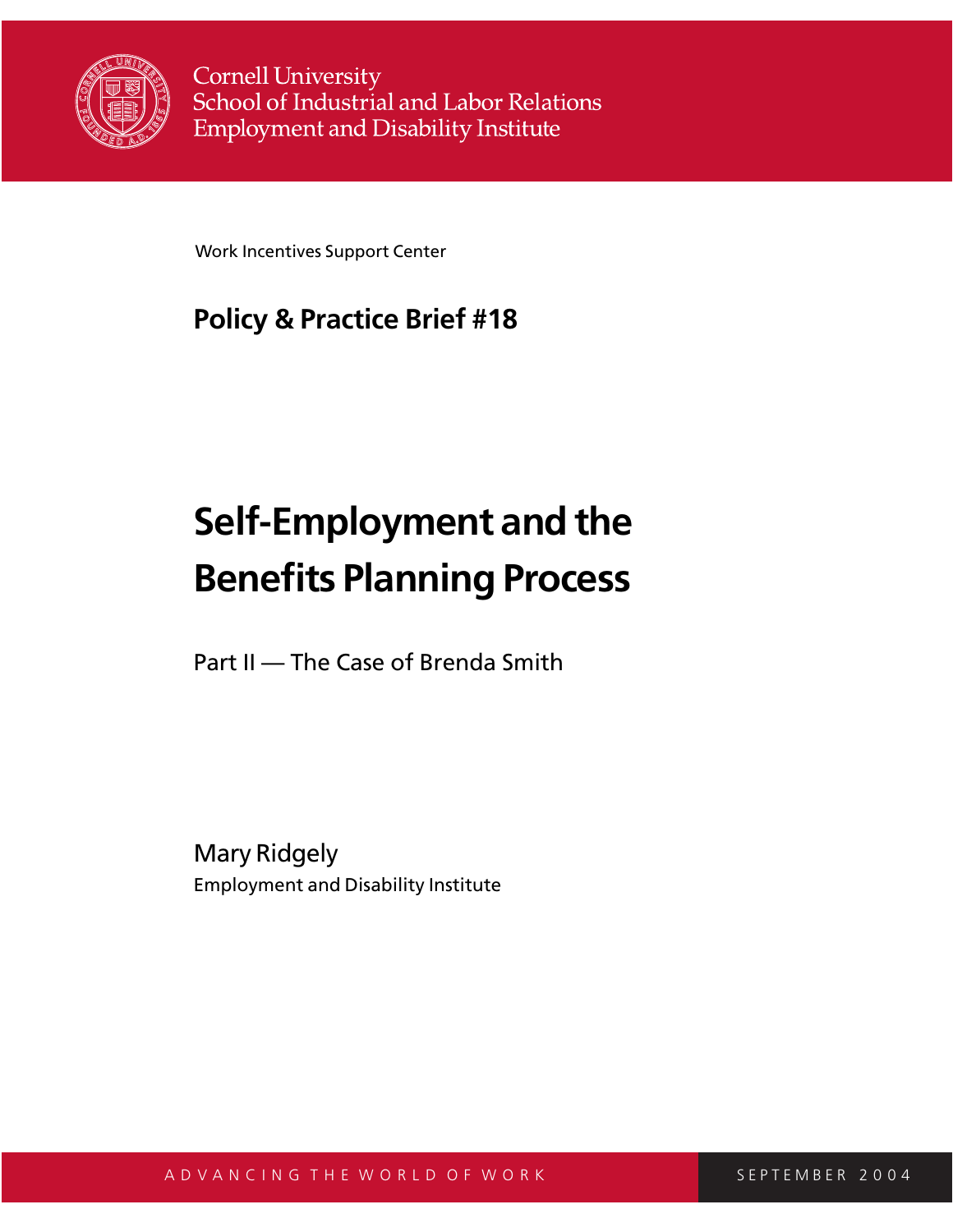

**Cornell University** School of Industrial and Labor Relations **Employment and Disability Institute** 

Work Incentives Support Center

# **Policy & Practice Brief #18**

# **Self-Employment and the Benefits Planning Process**

Part II — The Case of Brenda Smith

Mary Ridgely Employment and Disability Institute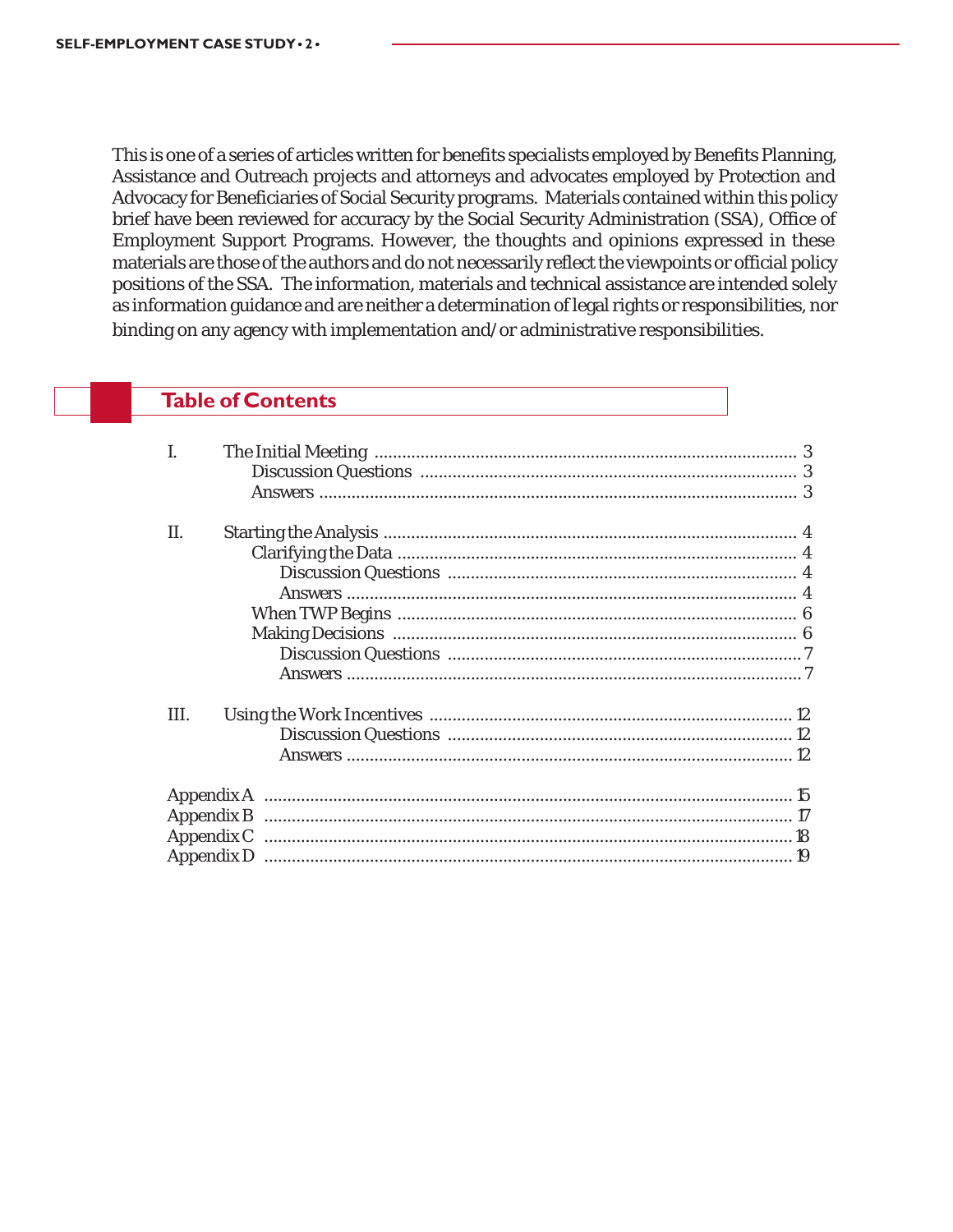This is one of a series of articles written for benefits specialists employed by Benefits Planning, Assistance and Outreach projects and attorneys and advocates employed by Protection and Advocacy for Beneficiaries of Social Security programs. Materials contained within this policy brief have been reviewed for accuracy by the Social Security Administration (SSA), Office of Employment Support Programs. However, the thoughts and opinions expressed in these materials are those of the authors and do not necessarily reflect the viewpoints or official policy positions of the SSA. The information, materials and technical assistance are intended solely as information guidance and are neither a determination of legal rights or responsibilities, nor binding on any agency with implementation and/or administrative responsibilities.

# **Table of Contents**

| II. |  |
|-----|--|
|     |  |
|     |  |
|     |  |
|     |  |
|     |  |
|     |  |
|     |  |
| Ш.  |  |
|     |  |
|     |  |
|     |  |
|     |  |
|     |  |
|     |  |
|     |  |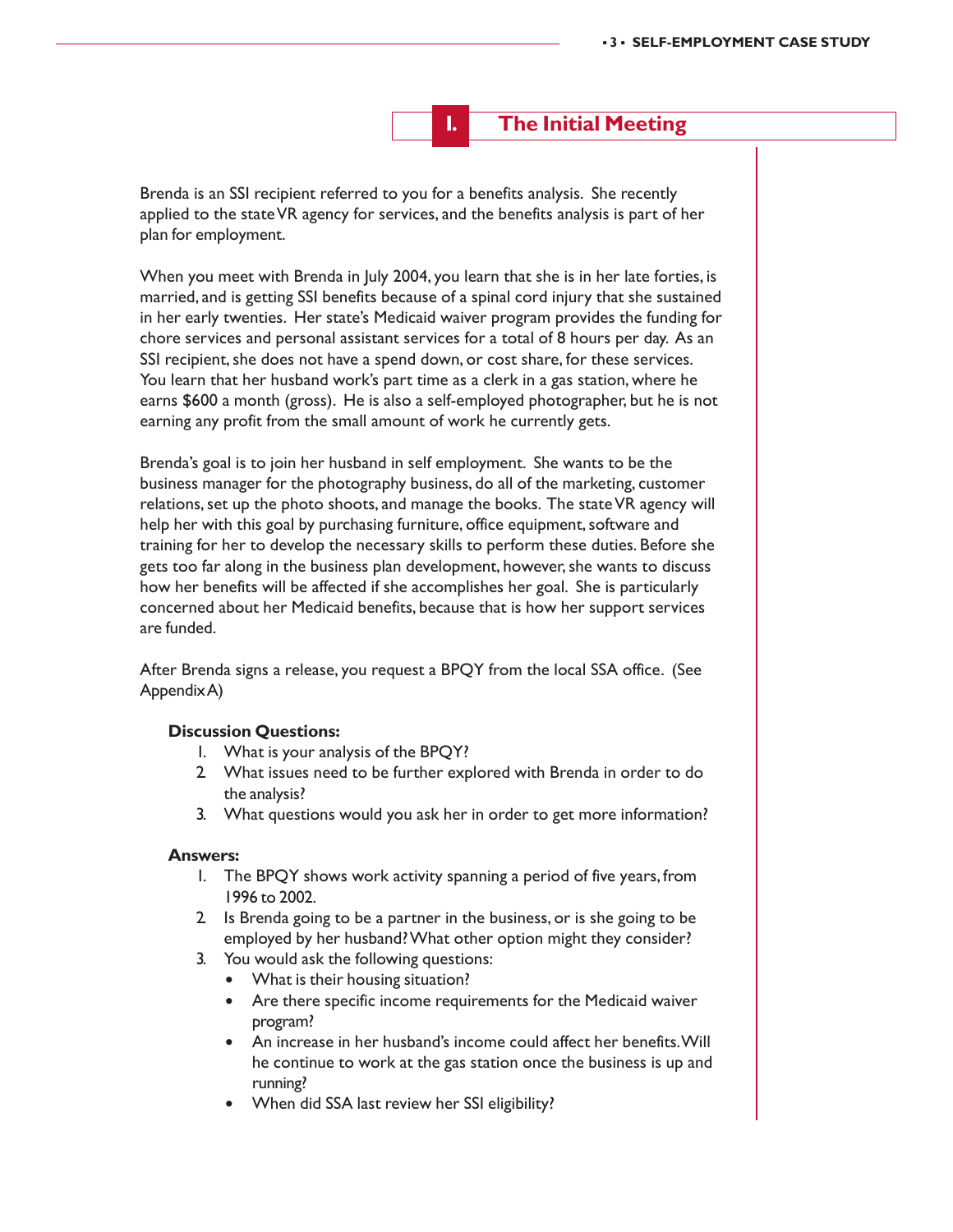**I. The Initial Meeting**

Brenda is an SSI recipient referred to you for a benefits analysis. She recently applied to the state VR agency for services, and the benefits analysis is part of her plan for employment.

When you meet with Brenda in July 2004, you learn that she is in her late forties, is married, and is getting SSI benefits because of a spinal cord injury that she sustained in her early twenties. Her state's Medicaid waiver program provides the funding for chore services and personal assistant services for a total of 8 hours per day. As an SSI recipient, she does not have a spend down, or cost share, for these services. You learn that her husband work's part time as a clerk in a gas station, where he earns \$600 a month (gross). He is also a self-employed photographer, but he is not earning any profit from the small amount of work he currently gets.

Brenda's goal is to join her husband in self employment. She wants to be the business manager for the photography business, do all of the marketing, customer relations, set up the photo shoots, and manage the books. The state VR agency will help her with this goal by purchasing furniture, office equipment, software and training for her to develop the necessary skills to perform these duties. Before she gets too far along in the business plan development, however, she wants to discuss how her benefits will be affected if she accomplishes her goal. She is particularly concerned about her Medicaid benefits, because that is how her support services are funded.

After Brenda signs a release, you request a BPQY from the local SSA office. (See Appendix A)

#### **Discussion Questions:**

- 1. What is your analysis of the BPQY?
- 2. What issues need to be further explored with Brenda in order to do the analysis?
- 3. What questions would you ask her in order to get more information?

#### **Answers:**

- 1. The BPQY shows work activity spanning a period of five years, from 1996 to 2002.
- 2. Is Brenda going to be a partner in the business, or is she going to be employed by her husband? What other option might they consider?
- 3. You would ask the following questions:
	- What is their housing situation?
	- Are there specific income requirements for the Medicaid waiver program?
	- An increase in her husband's income could affect her benefits. Will he continue to work at the gas station once the business is up and running?
	- . When did SSA last review her SSI eligibility?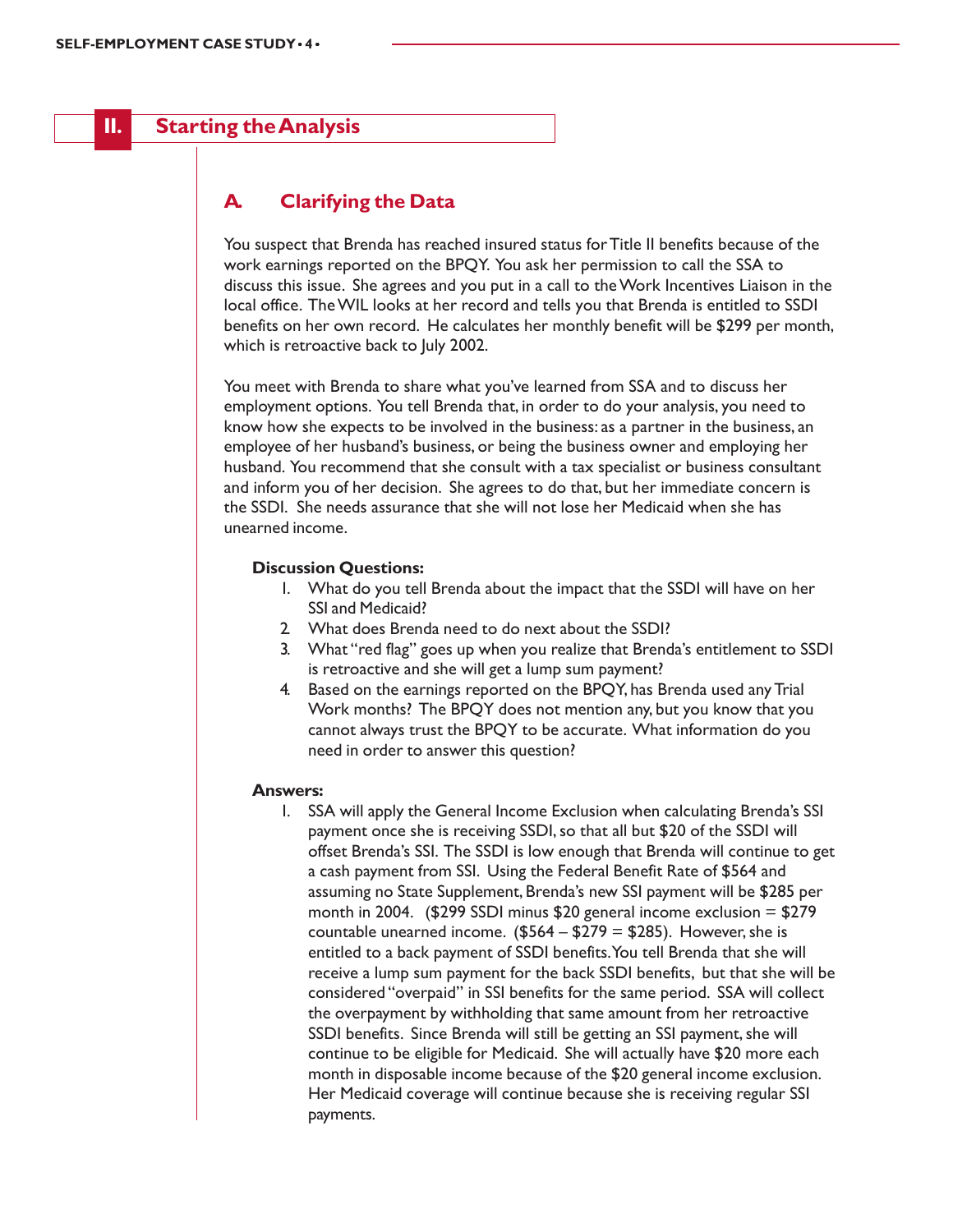# **II. Starting the Analysis**

# **A. Clarifying the Data**

You suspect that Brenda has reached insured status for Title II benefits because of the work earnings reported on the BPQY. You ask her permission to call the SSA to discuss this issue. She agrees and you put in a call to the Work Incentives Liaison in the local office. The WIL looks at her record and tells you that Brenda is entitled to SSDI benefits on her own record. He calculates her monthly benefit will be \$299 per month, which is retroactive back to July 2002.

You meet with Brenda to share what you've learned from SSA and to discuss her employment options. You tell Brenda that, in order to do your analysis, you need to know how she expects to be involved in the business: as a partner in the business, an employee of her husband's business, or being the business owner and employing her husband. You recommend that she consult with a tax specialist or business consultant and inform you of her decision. She agrees to do that, but her immediate concern is the SSDI. She needs assurance that she will not lose her Medicaid when she has unearned income.

#### **Discussion Questions:**

- 1. What do you tell Brenda about the impact that the SSDI will have on her SSI and Medicaid?
- 2. What does Brenda need to do next about the SSDI?
- 3. What "red flag" goes up when you realize that Brenda's entitlement to SSDI is retroactive and she will get a lump sum payment?
- 4. Based on the earnings reported on the BPQY, has Brenda used any Trial Work months? The BPQY does not mention any, but you know that you cannot always trust the BPQY to be accurate. What information do you need in order to answer this question?

#### **Answers:**

1. SSA will apply the General Income Exclusion when calculating Brenda's SSI payment once she is receiving SSDI, so that all but \$20 of the SSDI will offset Brenda's SSI. The SSDI is low enough that Brenda will continue to get a cash payment from SSI. Using the Federal Benefit Rate of \$564 and assuming no State Supplement, Brenda's new SSI payment will be \$285 per month in 2004. (\$299 SSDI minus \$20 general income exclusion  $=$  \$279 countable unearned income.  $($564 - $279 = $285)$ . However, she is entitled to a back payment of SSDI benefits. You tell Brenda that she will receive a lump sum payment for the back SSDI benefits, but that she will be considered "overpaid" in SSI benefits for the same period. SSA will collect the overpayment by withholding that same amount from her retroactive SSDI benefits. Since Brenda will still be getting an SSI payment, she will continue to be eligible for Medicaid. She will actually have \$20 more each month in disposable income because of the \$20 general income exclusion. Her Medicaid coverage will continue because she is receiving regular SSI payments.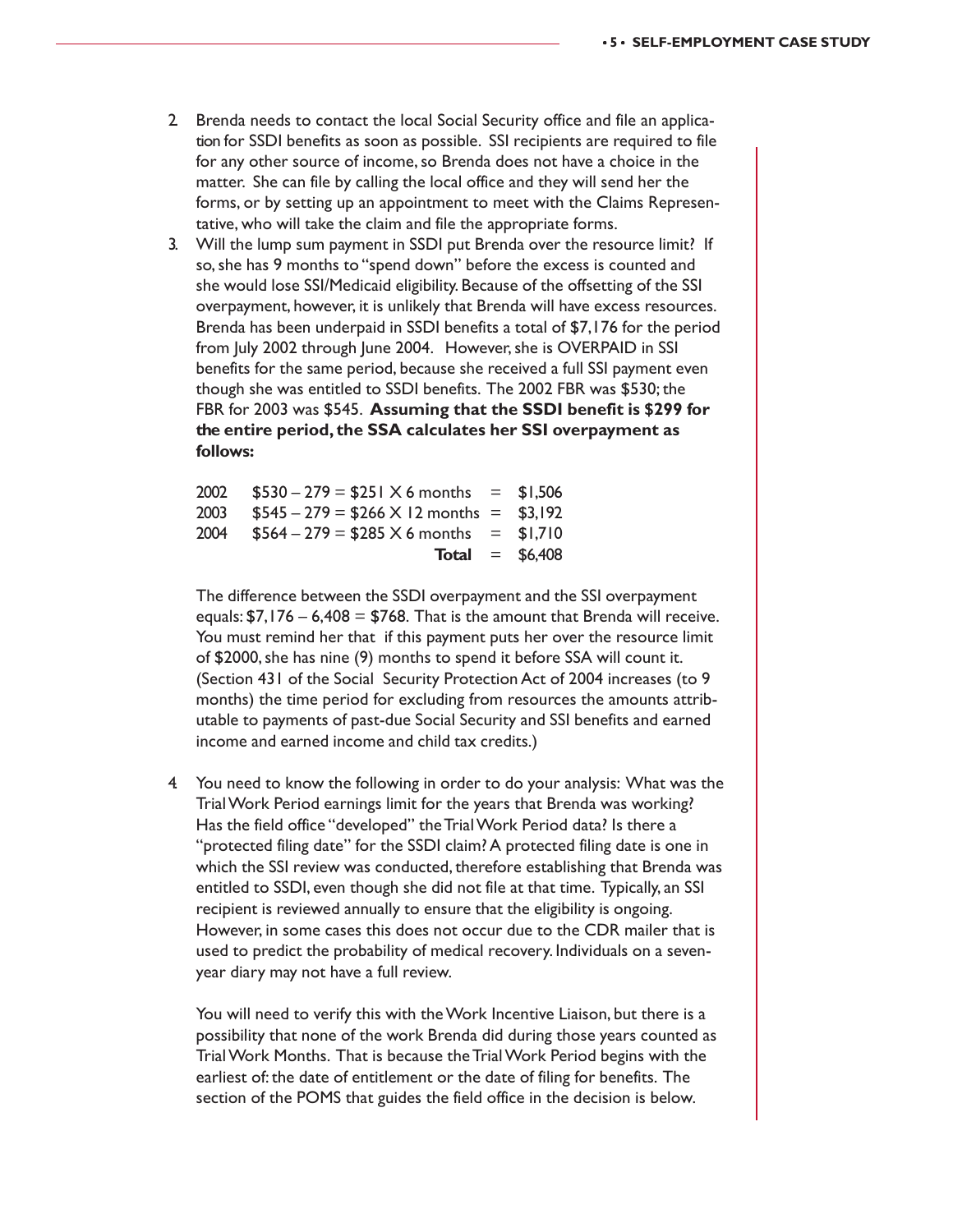- 2. Brenda needs to contact the local Social Security office and file an application for SSDI benefits as soon as possible. SSI recipients are required to file for any other source of income, so Brenda does not have a choice in the matter. She can file by calling the local office and they will send her the forms, or by setting up an appointment to meet with the Claims Representative, who will take the claim and file the appropriate forms.
- 3. Will the lump sum payment in SSDI put Brenda over the resource limit? If so, she has 9 months to "spend down" before the excess is counted and she would lose SSI/Medicaid eligibility. Because of the offsetting of the SSI overpayment, however, it is unlikely that Brenda will have excess resources. Brenda has been underpaid in SSDI benefits a total of \$7,176 for the period from July 2002 through June 2004. However, she is OVERPAID in SSI benefits for the same period, because she received a full SSI payment even though she was entitled to SSDI benefits. The 2002 FBR was \$530; the FBR for 2003 was \$545. **Assuming that the SSDI benefit is \$299 for the entire period, the SSA calculates her SSI overpayment as follows:**

|      | 2002 $$530 - 279 = $251 \times 6$ months = \$1,506 |                         |
|------|----------------------------------------------------|-------------------------|
| 2003 | $$545 - 279 = $266 \times 12$ months = \$3,192     |                         |
| 2004 | $$564 - 279 = $285 \times 6$ months = \$1,710      |                         |
|      |                                                    | <b>Total</b> = $$6,408$ |

The difference between the SSDI overpayment and the SSI overpayment equals:  $$7,176 - 6,408 = $768$ . That is the amount that Brenda will receive. You must remind her that if this payment puts her over the resource limit of \$2000, she has nine (9) months to spend it before SSA will count it. (Section 431 of the Social Security Protection Act of 2004 increases (to 9 months) the time period for excluding from resources the amounts attributable to payments of past-due Social Security and SSI benefits and earned income and earned income and child tax credits.)

4. You need to know the following in order to do your analysis: What was the Trial Work Period earnings limit for the years that Brenda was working? Has the field office "developed" the Trial Work Period data? Is there a "protected filing date" for the SSDI claim? A protected filing date is one in which the SSI review was conducted, therefore establishing that Brenda was entitled to SSDI, even though she did not file at that time. Typically, an SSI recipient is reviewed annually to ensure that the eligibility is ongoing. However, in some cases this does not occur due to the CDR mailer that is used to predict the probability of medical recovery. Individuals on a sevenyear diary may not have a full review.

You will need to verify this with the Work Incentive Liaison, but there is a possibility that none of the work Brenda did during those years counted as Trial Work Months. That is because the Trial Work Period begins with the earliest of: the date of entitlement or the date of filing for benefits. The section of the POMS that guides the field office in the decision is below.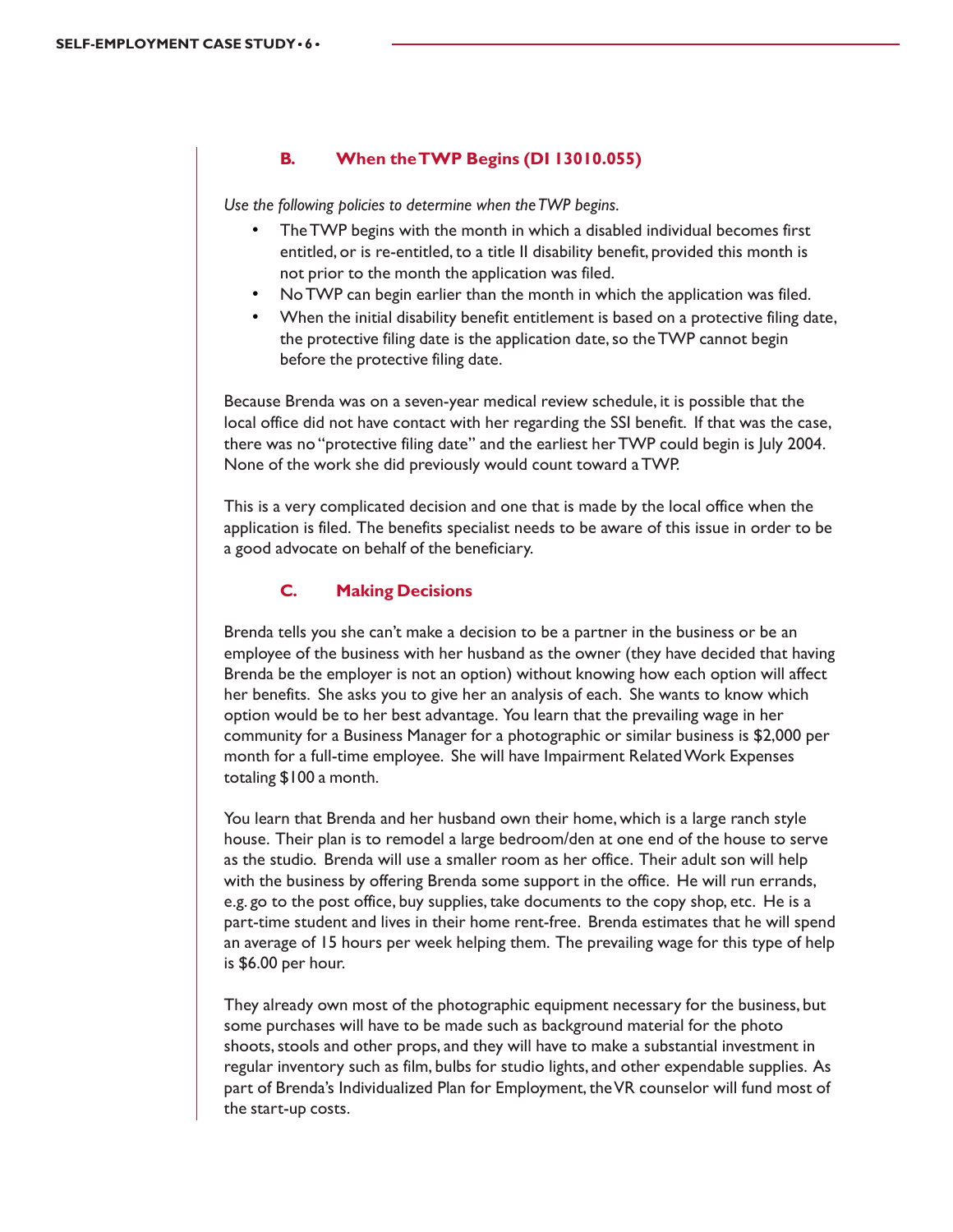#### **B. When the TWP Begins (DI 13010.055)**

*Use the following policies to determine when the TWP begins.*

- The TWP begins with the month in which a disabled individual becomes first entitled, or is re-entitled, to a title II disability benefit, provided this month is not prior to the month the application was filed.
- No TWP can begin earlier than the month in which the application was filed.
- When the initial disability benefit entitlement is based on a protective filing date, the protective filing date is the application date, so the TWP cannot begin before the protective filing date.

Because Brenda was on a seven-year medical review schedule, it is possible that the local office did not have contact with her regarding the SSI benefit. If that was the case, there was no "protective filing date" and the earliest her TWP could begin is July 2004. None of the work she did previously would count toward a TWP.

This is a very complicated decision and one that is made by the local office when the application is filed. The benefits specialist needs to be aware of this issue in order to be a good advocate on behalf of the beneficiary.

#### **C. Making Decisions**

Brenda tells you she can't make a decision to be a partner in the business or be an employee of the business with her husband as the owner (they have decided that having Brenda be the employer is not an option) without knowing how each option will affect her benefits. She asks you to give her an analysis of each. She wants to know which option would be to her best advantage. You learn that the prevailing wage in her community for a Business Manager for a photographic or similar business is \$2,000 per month for a full-time employee. She will have Impairment Related Work Expenses totaling \$100 a month.

You learn that Brenda and her husband own their home, which is a large ranch style house. Their plan is to remodel a large bedroom/den at one end of the house to serve as the studio. Brenda will use a smaller room as her office. Their adult son will help with the business by offering Brenda some support in the office. He will run errands, e.g. go to the post office, buy supplies, take documents to the copy shop, etc. He is a part-time student and lives in their home rent-free. Brenda estimates that he will spend an average of 15 hours per week helping them. The prevailing wage for this type of help is \$6.00 per hour.

They already own most of the photographic equipment necessary for the business, but some purchases will have to be made such as background material for the photo shoots, stools and other props, and they will have to make a substantial investment in regular inventory such as film, bulbs for studio lights, and other expendable supplies. As part of Brenda's Individualized Plan for Employment, the VR counselor will fund most of the start-up costs.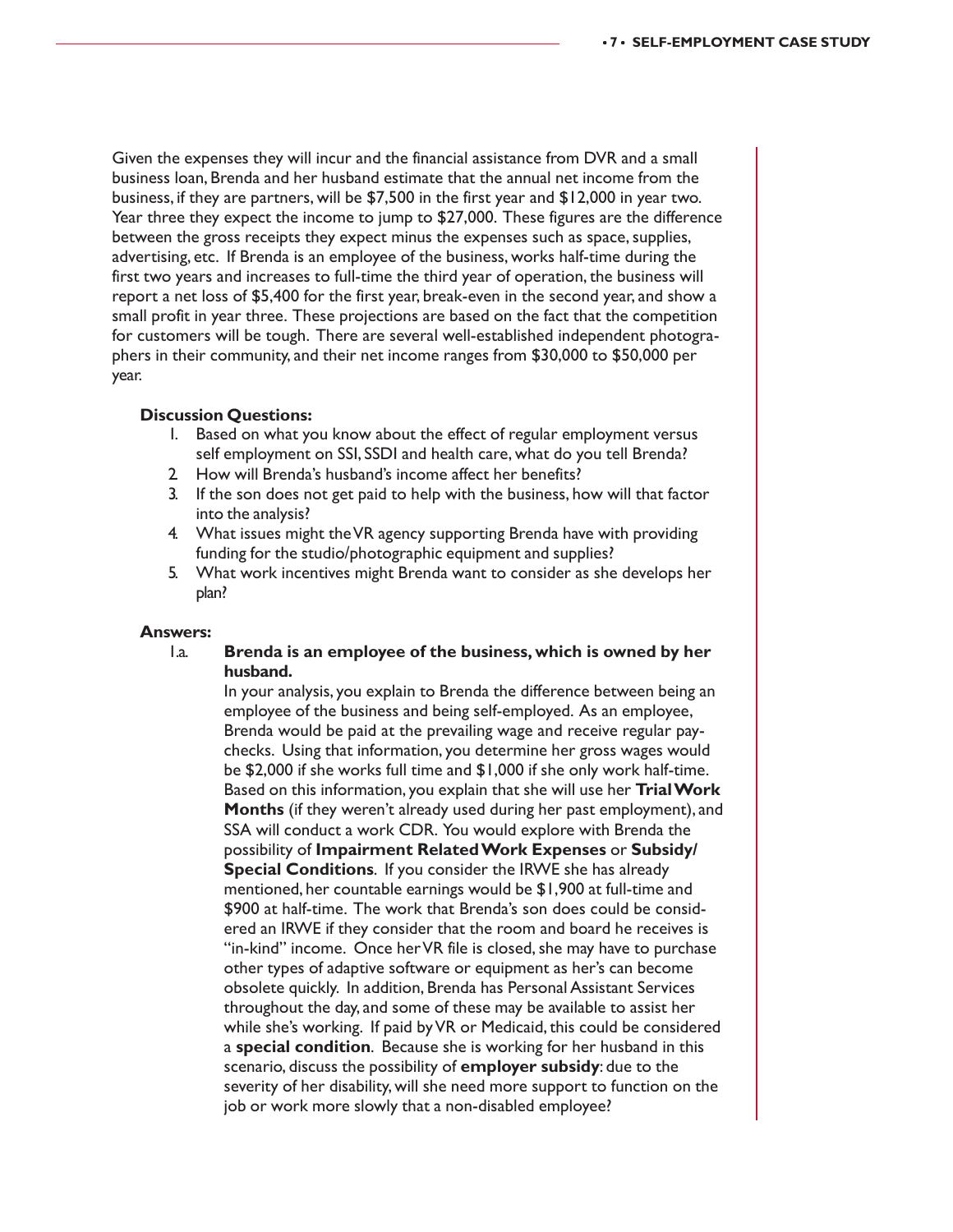Given the expenses they will incur and the financial assistance from DVR and a small business loan, Brenda and her husband estimate that the annual net income from the business, if they are partners, will be \$7,500 in the first year and \$12,000 in year two. Year three they expect the income to jump to \$27,000. These figures are the difference between the gross receipts they expect minus the expenses such as space, supplies, advertising, etc. If Brenda is an employee of the business, works half-time during the first two years and increases to full-time the third year of operation, the business will report a net loss of \$5,400 for the first year, break-even in the second year, and show a small profit in year three. These projections are based on the fact that the competition for customers will be tough. There are several well-established independent photographers in their community, and their net income ranges from \$30,000 to \$50,000 per year.

#### **Discussion Questions:**

- 1. Based on what you know about the effect of regular employment versus self employment on SSI, SSDI and health care, what do you tell Brenda?
- 2. How will Brenda's husband's income affect her benefits?
- 3. If the son does not get paid to help with the business, how will that factor into the analysis?
- 4. What issues might the VR agency supporting Brenda have with providing funding for the studio/photographic equipment and supplies?
- 5. What work incentives might Brenda want to consider as she develops her plan?

#### **Answers:**

1.a. **Brenda is an employee of the business, which is owned by her husband.**

In your analysis, you explain to Brenda the difference between being an employee of the business and being self-employed. As an employee, Brenda would be paid at the prevailing wage and receive regular paychecks. Using that information, you determine her gross wages would be \$2,000 if she works full time and \$1,000 if she only work half-time. Based on this information, you explain that she will use her **Trial Work Months** (if they weren't already used during her past employment), and SSA will conduct a work CDR. You would explore with Brenda the possibility of **Impairment Related Work Expenses** or **Subsidy/ Special Conditions**. If you consider the IRWE she has already mentioned, her countable earnings would be \$1,900 at full-time and \$900 at half-time. The work that Brenda's son does could be considered an IRWE if they consider that the room and board he receives is "in-kind" income. Once her VR file is closed, she may have to purchase other types of adaptive software or equipment as her's can become obsolete quickly. In addition, Brenda has Personal Assistant Services throughout the day, and some of these may be available to assist her while she's working. If paid by VR or Medicaid, this could be considered a **special condition**. Because she is working for her husband in this scenario, discuss the possibility of **employer subsidy**: due to the severity of her disability, will she need more support to function on the job or work more slowly that a non-disabled employee?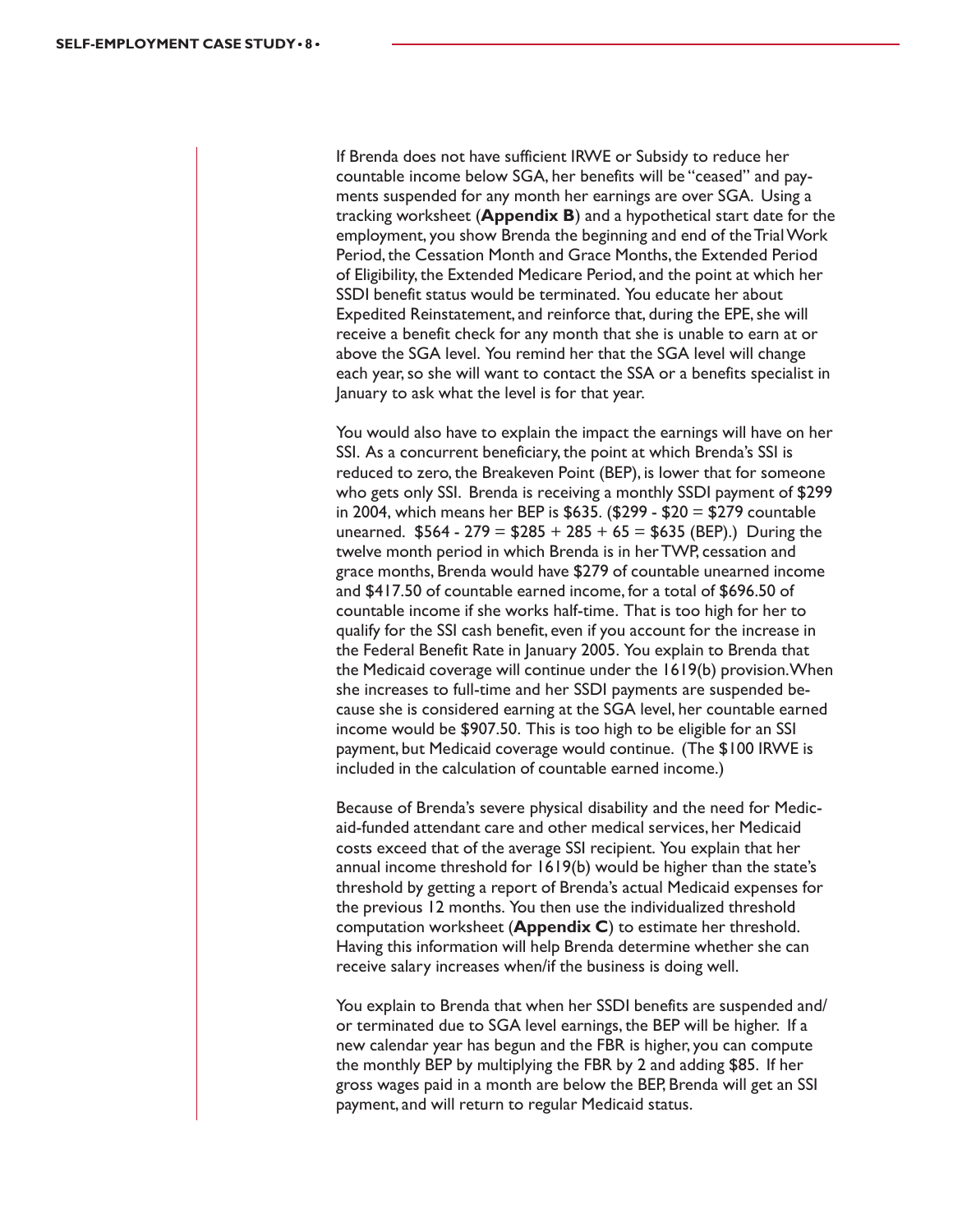If Brenda does not have sufficient IRWE or Subsidy to reduce her countable income below SGA, her benefits will be "ceased" and payments suspended for any month her earnings are over SGA. Using a tracking worksheet (**Appendix B**) and a hypothetical start date for the employment, you show Brenda the beginning and end of the Trial Work Period, the Cessation Month and Grace Months, the Extended Period of Eligibility, the Extended Medicare Period, and the point at which her SSDI benefit status would be terminated. You educate her about Expedited Reinstatement, and reinforce that, during the EPE, she will receive a benefit check for any month that she is unable to earn at or above the SGA level. You remind her that the SGA level will change each year, so she will want to contact the SSA or a benefits specialist in January to ask what the level is for that year.

You would also have to explain the impact the earnings will have on her SSI. As a concurrent beneficiary, the point at which Brenda's SSI is reduced to zero, the Breakeven Point (BEP), is lower that for someone who gets only SSI. Brenda is receiving a monthly SSDI payment of \$299 in 2004, which means her BEP is \$635. (\$299 - \$20 = \$279 countable unearned.  $$564 - 279 = $285 + 285 + 65 = $635$  (BEP).) During the twelve month period in which Brenda is in her TWP, cessation and grace months, Brenda would have \$279 of countable unearned income and \$417.50 of countable earned income, for a total of \$696.50 of countable income if she works half-time. That is too high for her to qualify for the SSI cash benefit, even if you account for the increase in the Federal Benefit Rate in January 2005. You explain to Brenda that the Medicaid coverage will continue under the 1619(b) provision. When she increases to full-time and her SSDI payments are suspended because she is considered earning at the SGA level, her countable earned income would be \$907.50. This is too high to be eligible for an SSI payment, but Medicaid coverage would continue. (The \$100 IRWE is included in the calculation of countable earned income.)

Because of Brenda's severe physical disability and the need for Medicaid-funded attendant care and other medical services, her Medicaid costs exceed that of the average SSI recipient. You explain that her annual income threshold for 1619(b) would be higher than the state's threshold by getting a report of Brenda's actual Medicaid expenses for the previous 12 months. You then use the individualized threshold computation worksheet (**Appendix C**) to estimate her threshold. Having this information will help Brenda determine whether she can receive salary increases when/if the business is doing well.

You explain to Brenda that when her SSDI benefits are suspended and/ or terminated due to SGA level earnings, the BEP will be higher. If a new calendar year has begun and the FBR is higher, you can compute the monthly BEP by multiplying the FBR by 2 and adding \$85. If her gross wages paid in a month are below the BEP, Brenda will get an SSI payment, and will return to regular Medicaid status.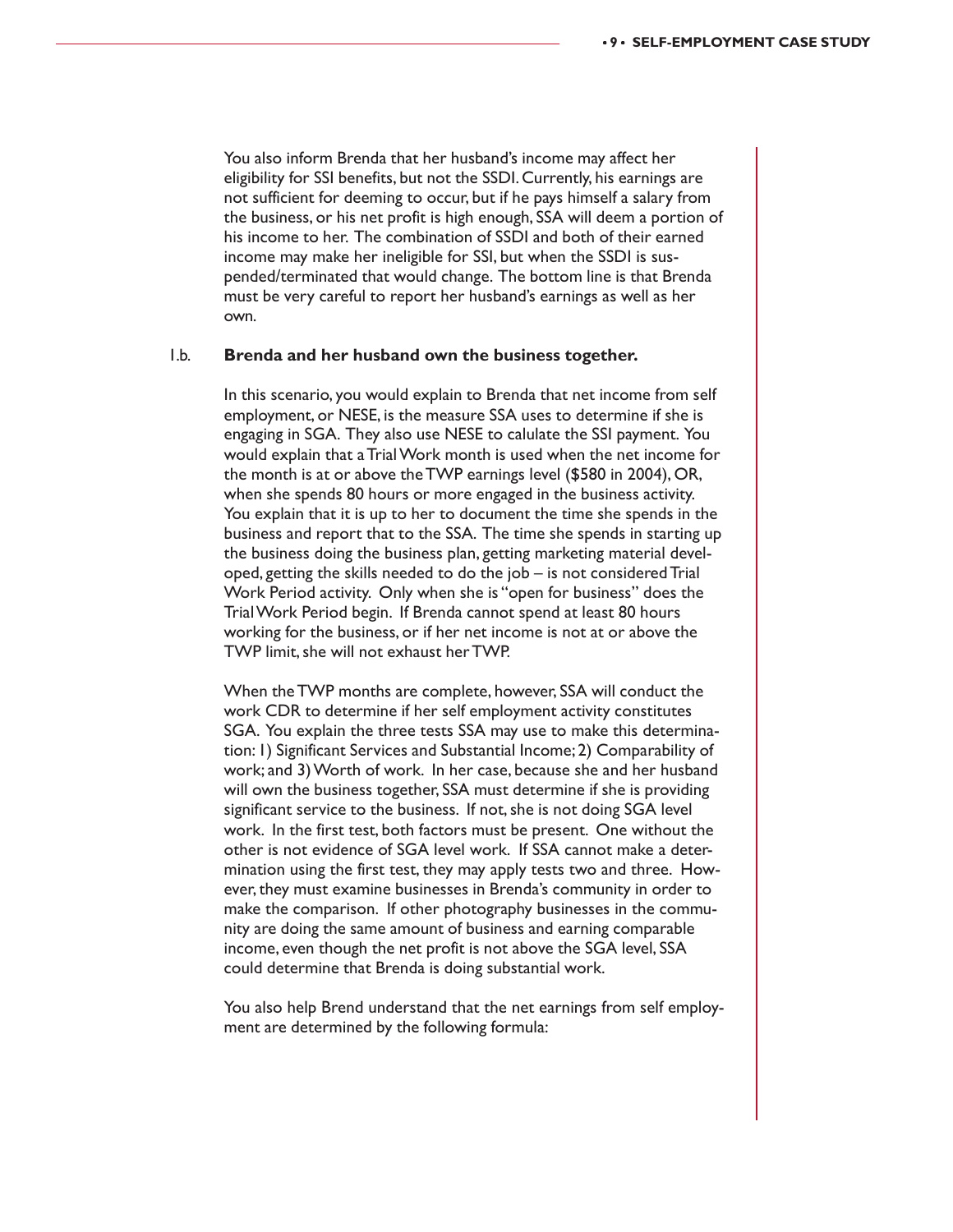You also inform Brenda that her husband's income may affect her eligibility for SSI benefits, but not the SSDI. Currently, his earnings are not sufficient for deeming to occur, but if he pays himself a salary from the business, or his net profit is high enough, SSA will deem a portion of his income to her. The combination of SSDI and both of their earned income may make her ineligible for SSI, but when the SSDI is suspended/terminated that would change. The bottom line is that Brenda must be very careful to report her husband's earnings as well as her own.

#### 1.b. **Brenda and her husband own the business together.**

In this scenario, you would explain to Brenda that net income from self employment, or NESE, is the measure SSA uses to determine if she is engaging in SGA. They also use NESE to calulate the SSI payment. You would explain that a Trial Work month is used when the net income for the month is at or above the TWP earnings level (\$580 in 2004), OR, when she spends 80 hours or more engaged in the business activity. You explain that it is up to her to document the time she spends in the business and report that to the SSA. The time she spends in starting up the business doing the business plan, getting marketing material developed, getting the skills needed to do the job – is not considered Trial Work Period activity. Only when she is "open for business" does the Trial Work Period begin. If Brenda cannot spend at least 80 hours working for the business, or if her net income is not at or above the TWP limit, she will not exhaust her TWP.

When the TWP months are complete, however, SSA will conduct the work CDR to determine if her self employment activity constitutes SGA. You explain the three tests SSA may use to make this determination: 1) Significant Services and Substantial Income; 2) Comparability of work; and 3) Worth of work. In her case, because she and her husband will own the business together, SSA must determine if she is providing significant service to the business. If not, she is not doing SGA level work. In the first test, both factors must be present. One without the other is not evidence of SGA level work. If SSA cannot make a determination using the first test, they may apply tests two and three. However, they must examine businesses in Brenda's community in order to make the comparison. If other photography businesses in the community are doing the same amount of business and earning comparable income, even though the net profit is not above the SGA level, SSA could determine that Brenda is doing substantial work.

You also help Brend understand that the net earnings from self employment are determined by the following formula: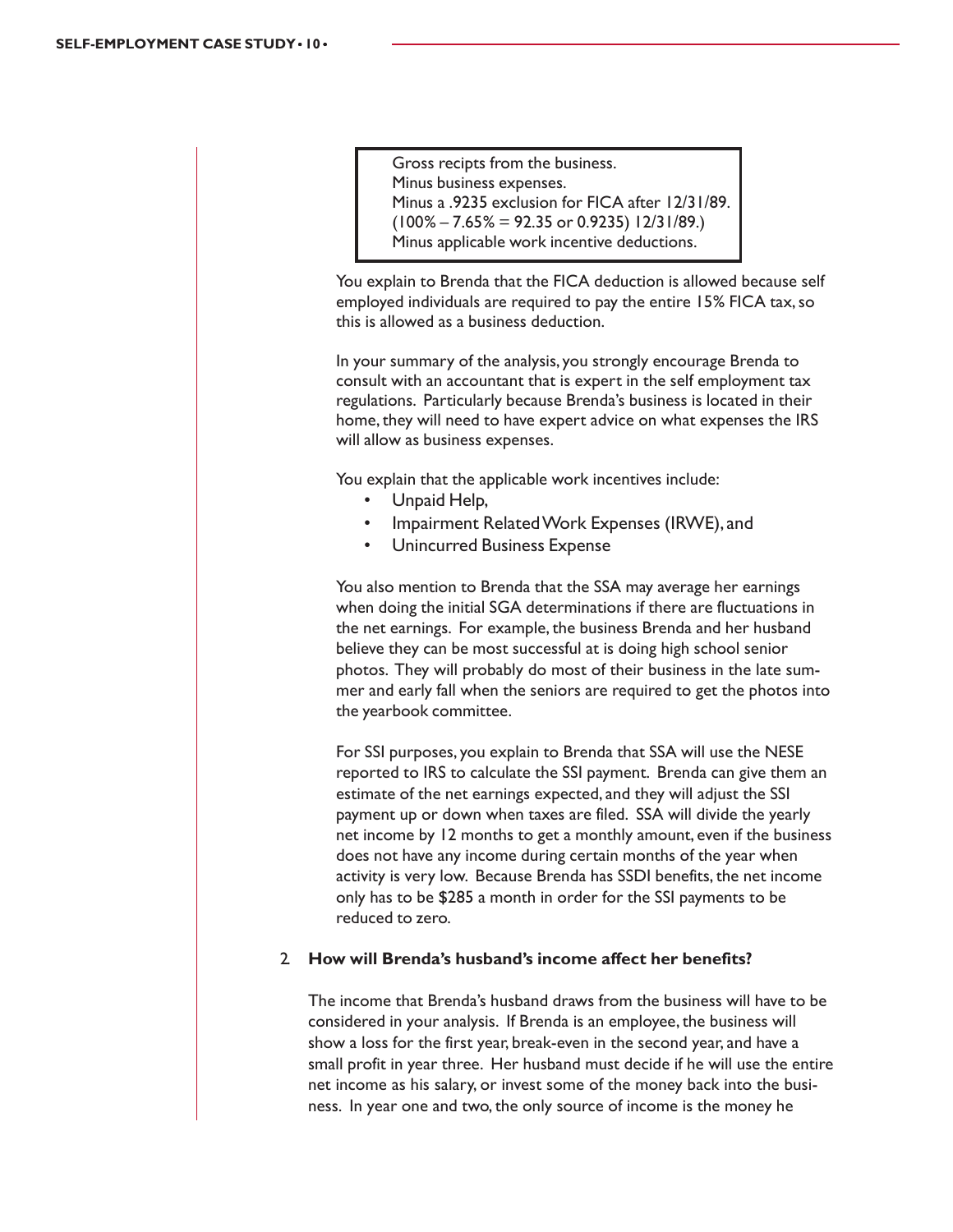Gross recipts from the business. Minus business expenses. Minus a .9235 exclusion for FICA after 12/31/89.  $(100\% - 7.65\% = 92.35 \text{ or } 0.9235)$  12/31/89.) Minus applicable work incentive deductions.

You explain to Brenda that the FICA deduction is allowed because self employed individuals are required to pay the entire 15% FICA tax, so this is allowed as a business deduction.

In your summary of the analysis, you strongly encourage Brenda to consult with an accountant that is expert in the self employment tax regulations. Particularly because Brenda's business is located in their home, they will need to have expert advice on what expenses the IRS will allow as business expenses.

You explain that the applicable work incentives include:

- Unpaid Help,
- Impairment Related Work Expenses (IRWE), and
- Unincurred Business Expense

You also mention to Brenda that the SSA may average her earnings when doing the initial SGA determinations if there are fluctuations in the net earnings. For example, the business Brenda and her husband believe they can be most successful at is doing high school senior photos. They will probably do most of their business in the late summer and early fall when the seniors are required to get the photos into the yearbook committee.

For SSI purposes, you explain to Brenda that SSA will use the NESE reported to IRS to calculate the SSI payment. Brenda can give them an estimate of the net earnings expected, and they will adjust the SSI payment up or down when taxes are filed. SSA will divide the yearly net income by 12 months to get a monthly amount, even if the business does not have any income during certain months of the year when activity is very low. Because Brenda has SSDI benefits, the net income only has to be \$285 a month in order for the SSI payments to be reduced to zero.

#### 2. **How will Brenda's husband's income affect her benefits?**

The income that Brenda's husband draws from the business will have to be considered in your analysis. If Brenda is an employee, the business will show a loss for the first year, break-even in the second year, and have a small profit in year three. Her husband must decide if he will use the entire net income as his salary, or invest some of the money back into the business. In year one and two, the only source of income is the money he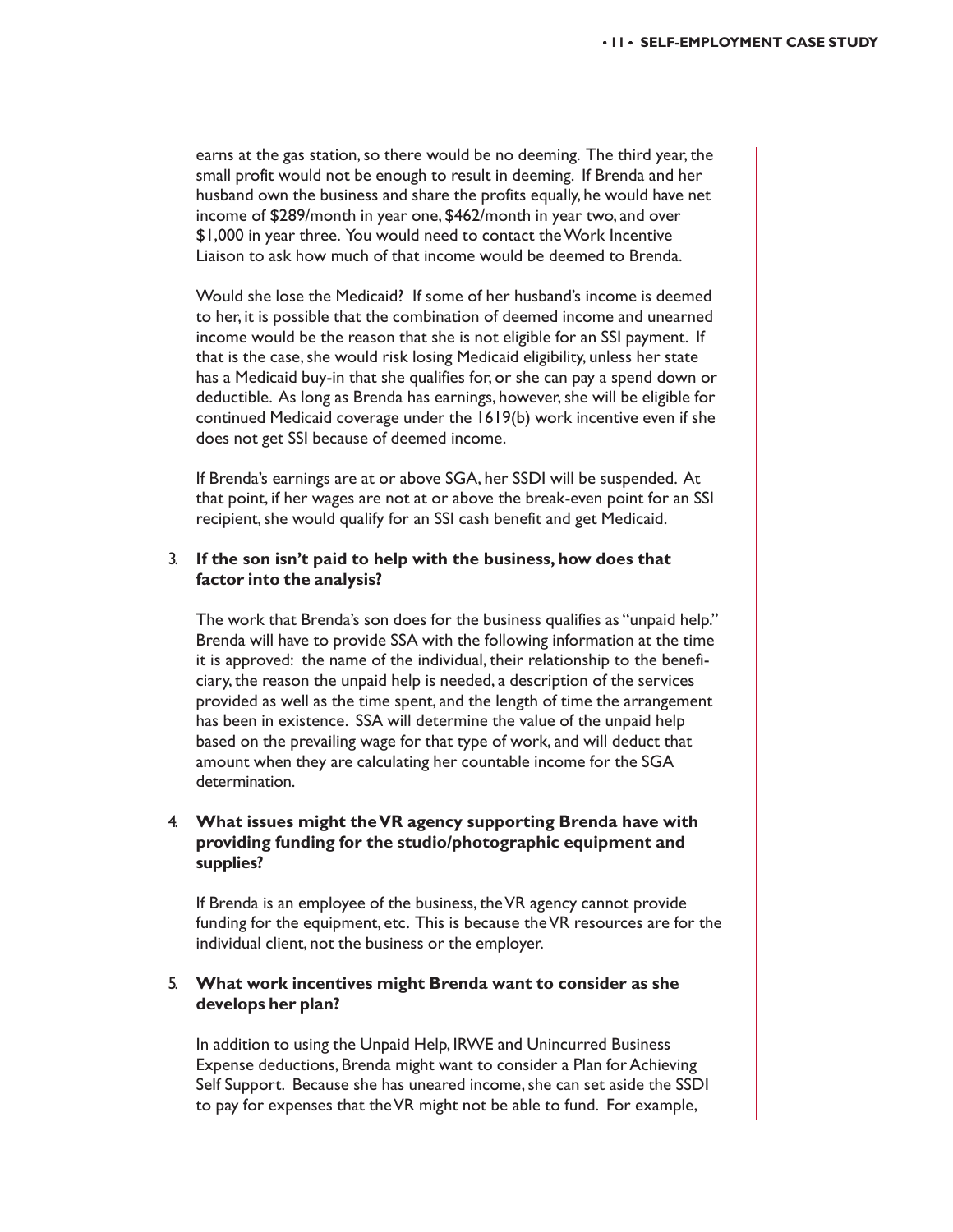earns at the gas station, so there would be no deeming. The third year, the small profit would not be enough to result in deeming. If Brenda and her husband own the business and share the profits equally, he would have net income of \$289/month in year one, \$462/month in year two, and over \$1,000 in year three. You would need to contact the Work Incentive Liaison to ask how much of that income would be deemed to Brenda.

Would she lose the Medicaid? If some of her husband's income is deemed to her, it is possible that the combination of deemed income and unearned income would be the reason that she is not eligible for an SSI payment. If that is the case, she would risk losing Medicaid eligibility, unless her state has a Medicaid buy-in that she qualifies for, or she can pay a spend down or deductible. As long as Brenda has earnings, however, she will be eligible for continued Medicaid coverage under the 1619(b) work incentive even if she does not get SSI because of deemed income.

If Brenda's earnings are at or above SGA, her SSDI will be suspended. At that point, if her wages are not at or above the break-even point for an SSI recipient, she would qualify for an SSI cash benefit and get Medicaid.

#### 3. **If the son isn't paid to help with the business, how does that factor into the analysis?**

The work that Brenda's son does for the business qualifies as "unpaid help." Brenda will have to provide SSA with the following information at the time it is approved: the name of the individual, their relationship to the beneficiary, the reason the unpaid help is needed, a description of the services provided as well as the time spent, and the length of time the arrangement has been in existence. SSA will determine the value of the unpaid help based on the prevailing wage for that type of work, and will deduct that amount when they are calculating her countable income for the SGA determination.

#### 4. **What issues might the VR agency supporting Brenda have with providing funding for the studio/photographic equipment and supplies?**

If Brenda is an employee of the business, the VR agency cannot provide funding for the equipment, etc. This is because the VR resources are for the individual client, not the business or the employer.

#### 5. **What work incentives might Brenda want to consider as she develops her plan?**

In addition to using the Unpaid Help, IRWE and Unincurred Business Expense deductions, Brenda might want to consider a Plan for Achieving Self Support. Because she has uneared income, she can set aside the SSDI to pay for expenses that the VR might not be able to fund. For example,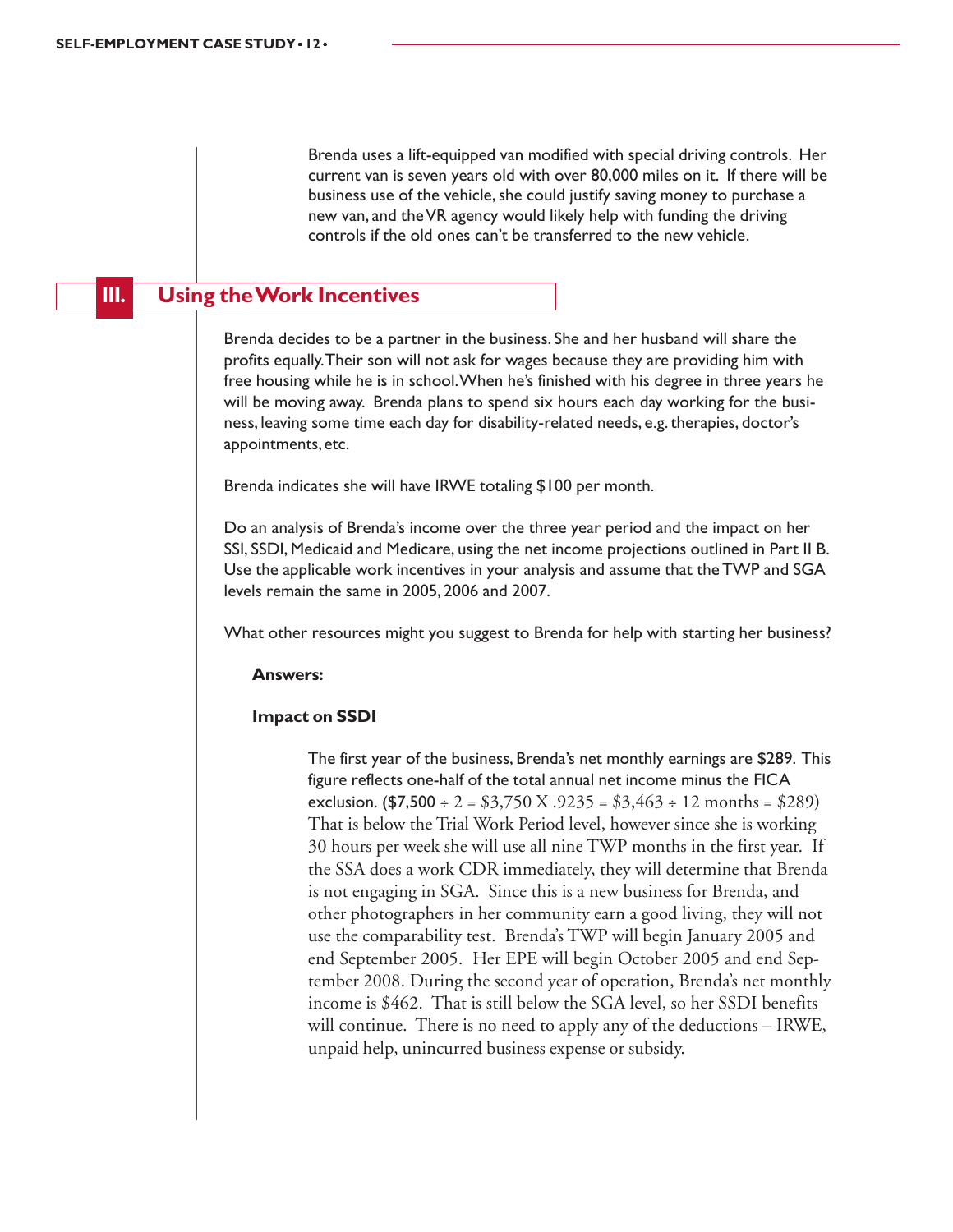Brenda uses a lift-equipped van modified with special driving controls. Her current van is seven years old with over 80,000 miles on it. If there will be business use of the vehicle, she could justify saving money to purchase a new van, and the VR agency would likely help with funding the driving controls if the old ones can't be transferred to the new vehicle.

### **III. Using the Work Incentives**

Brenda decides to be a partner in the business. She and her husband will share the profits equally. Their son will not ask for wages because they are providing him with free housing while he is in school. When he's finished with his degree in three years he will be moving away. Brenda plans to spend six hours each day working for the business, leaving some time each day for disability-related needs, e.g. therapies, doctor's appointments, etc.

Brenda indicates she will have IRWE totaling \$100 per month.

Do an analysis of Brenda's income over the three year period and the impact on her SSI, SSDI, Medicaid and Medicare, using the net income projections outlined in Part II B. Use the applicable work incentives in your analysis and assume that the TWP and SGA levels remain the same in 2005, 2006 and 2007.

What other resources might you suggest to Brenda for help with starting her business?

#### **Answers:**

#### **Impact on SSDI**

The first year of the business, Brenda's net monthly earnings are \$289. This figure reflects one-half of the total annual net income minus the FICA exclusion. (\$7,500 ÷ 2 = \$3,750 X .9235 = \$3,463 ÷ 12 months = \$289) That is below the Trial Work Period level, however since she is working 30 hours per week she will use all nine TWP months in the first year. If the SSA does a work CDR immediately, they will determine that Brenda is not engaging in SGA. Since this is a new business for Brenda, and other photographers in her community earn a good living, they will not use the comparability test. Brenda's TWP will begin January 2005 and end September 2005. Her EPE will begin October 2005 and end September 2008. During the second year of operation, Brenda's net monthly income is \$462. That is still below the SGA level, so her SSDI benefits will continue. There is no need to apply any of the deductions – IRWE, unpaid help, unincurred business expense or subsidy.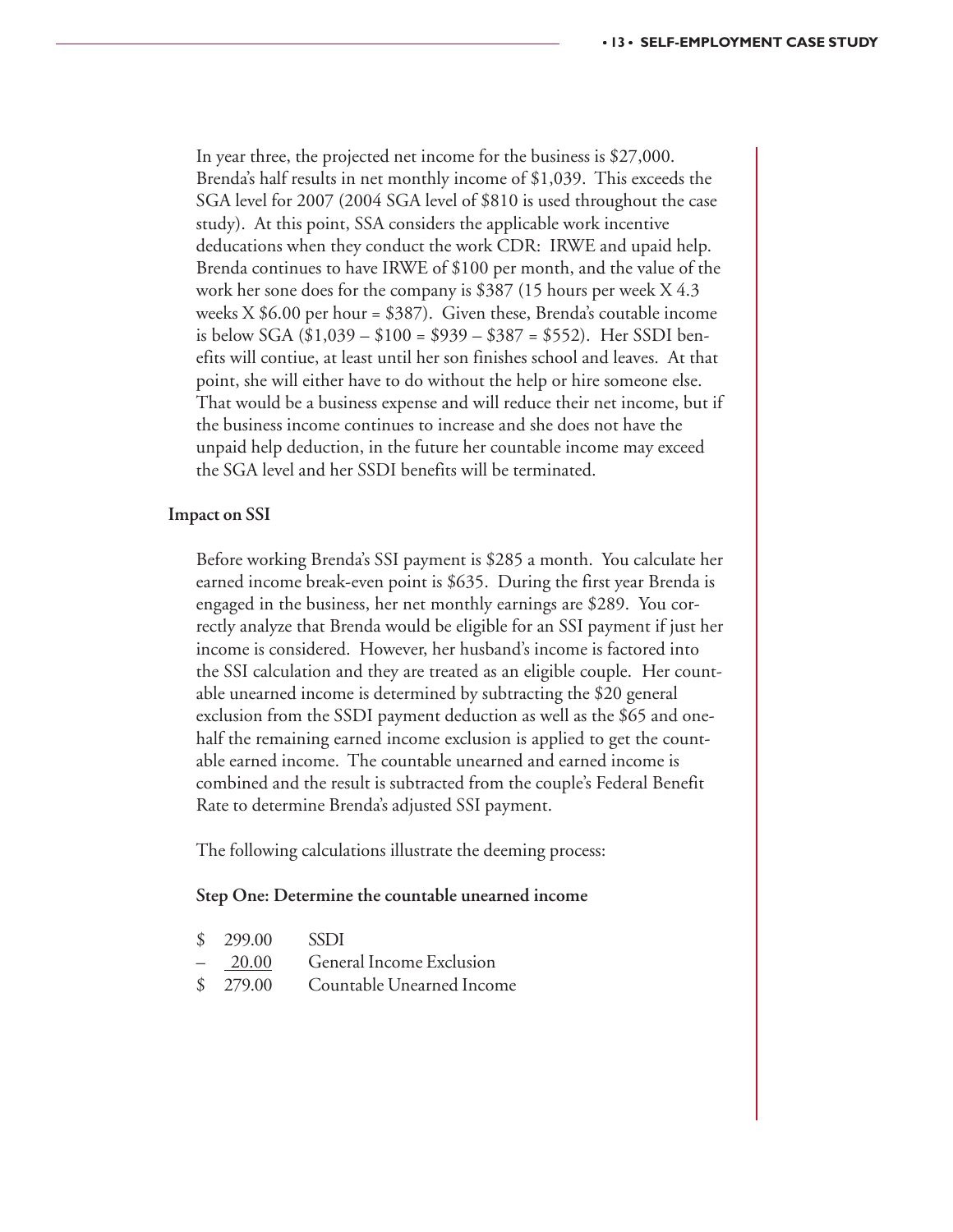In year three, the projected net income for the business is \$27,000. Brenda's half results in net monthly income of \$1,039. This exceeds the SGA level for 2007 (2004 SGA level of \$810 is used throughout the case study). At this point, SSA considers the applicable work incentive deducations when they conduct the work CDR: IRWE and upaid help. Brenda continues to have IRWE of \$100 per month, and the value of the work her sone does for the company is \$387 (15 hours per week X 4.3 weeks  $X $6.00$  per hour = \$387). Given these, Brenda's coutable income is below SGA (\$1,039 – \$100 = \$939 – \$387 = \$552). Her SSDI benefits will contiue, at least until her son finishes school and leaves. At that point, she will either have to do without the help or hire someone else. That would be a business expense and will reduce their net income, but if the business income continues to increase and she does not have the unpaid help deduction, in the future her countable income may exceed the SGA level and her SSDI benefits will be terminated.

#### **Impact on SSI**

Before working Brenda's SSI payment is \$285 a month. You calculate her earned income break-even point is \$635. During the first year Brenda is engaged in the business, her net monthly earnings are \$289. You correctly analyze that Brenda would be eligible for an SSI payment if just her income is considered. However, her husband's income is factored into the SSI calculation and they are treated as an eligible couple. Her countable unearned income is determined by subtracting the \$20 general exclusion from the SSDI payment deduction as well as the \$65 and onehalf the remaining earned income exclusion is applied to get the countable earned income. The countable unearned and earned income is combined and the result is subtracted from the couple's Federal Benefit Rate to determine Brenda's adjusted SSI payment.

The following calculations illustrate the deeming process:

#### **Step One: Determine the countable unearned income**

| \$ 299.00 SSDI |                                     |
|----------------|-------------------------------------|
|                | - 20.00 General Income Exclusion    |
|                | \$ 279.00 Countable Unearned Income |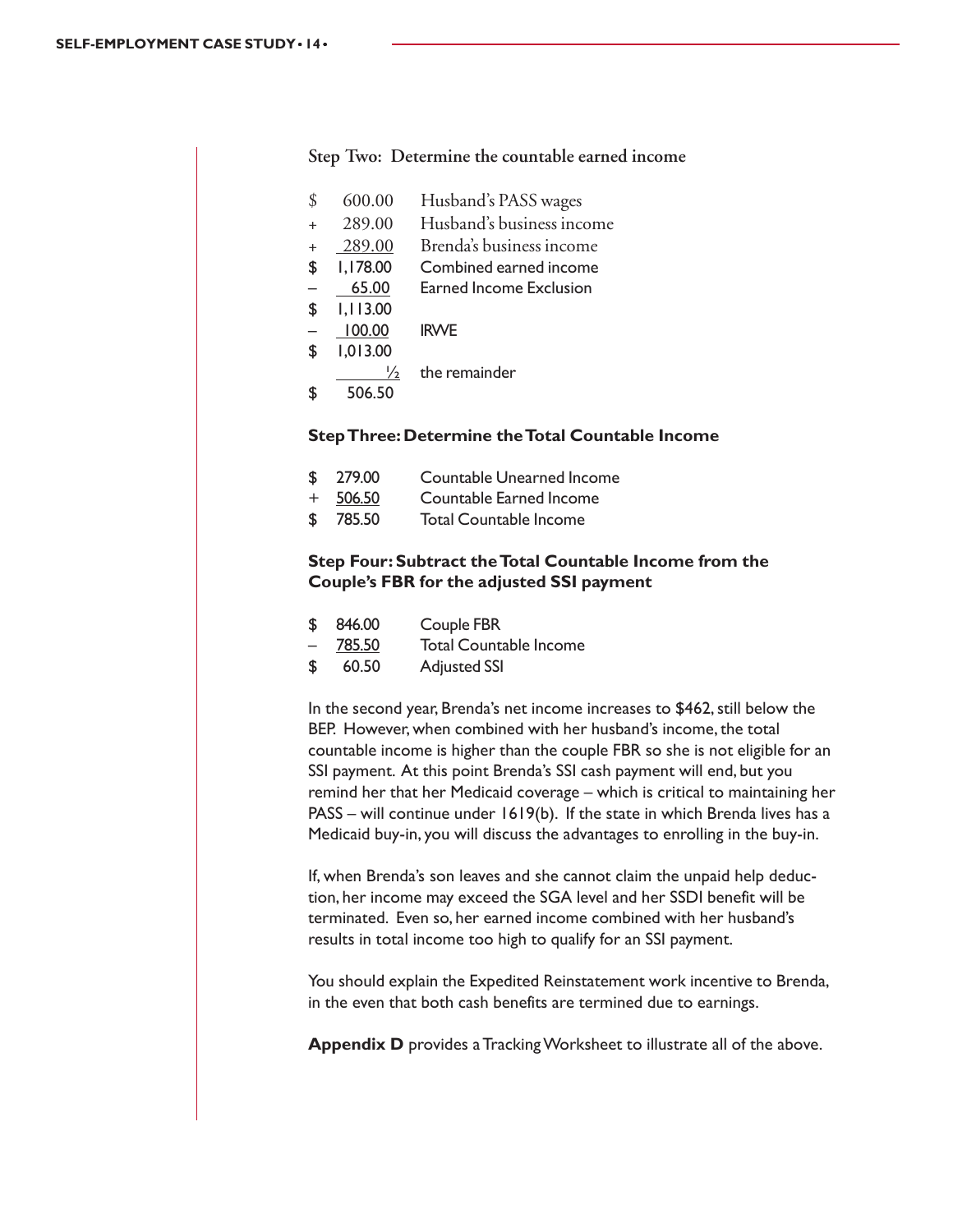| \$  | 600.00        | Husband's PASS wages      |
|-----|---------------|---------------------------|
| $+$ | 289.00        | Husband's business income |
| $+$ | 289.00        | Brenda's business income  |
| \$  | 1,178.00      | Combined earned income    |
|     | 65.00         | Earned Income Exclusion   |
| \$  | 1,113.00      |                           |
|     | 100.00        | <b>IRWE</b>               |
| S   | 1,013.00      |                           |
|     | $\frac{1}{2}$ | the remainder             |
|     | 506.50        |                           |
|     |               |                           |

#### **Step Two: Determine the countable earned income**

#### **Step Three: Determine the Total Countable Income**

- \$ 279.00 Countable Unearned Income
- + 506.50 Countable Earned Income
- \$ 785.50 Total Countable Income

#### **Step Four: Subtract the Total Countable Income from the Couple's FBR for the adjusted SSI payment**

|  |  | Couple FBR | 846.00 | $\boldsymbol{\mathsf{S}}$ |
|--|--|------------|--------|---------------------------|
|--|--|------------|--------|---------------------------|

- 785.50 Total Countable Income
- 60.50 Adjusted SSI

In the second year, Brenda's net income increases to \$462, still below the BEP. However, when combined with her husband's income, the total countable income is higher than the couple FBR so she is not eligible for an SSI payment. At this point Brenda's SSI cash payment will end, but you remind her that her Medicaid coverage – which is critical to maintaining her PASS – will continue under 1619(b). If the state in which Brenda lives has a Medicaid buy-in, you will discuss the advantages to enrolling in the buy-in.

If, when Brenda's son leaves and she cannot claim the unpaid help deduction, her income may exceed the SGA level and her SSDI benefit will be terminated. Even so, her earned income combined with her husband's results in total income too high to qualify for an SSI payment.

You should explain the Expedited Reinstatement work incentive to Brenda, in the even that both cash benefits are termined due to earnings.

**Appendix D** provides a Tracking Worksheet to illustrate all of the above.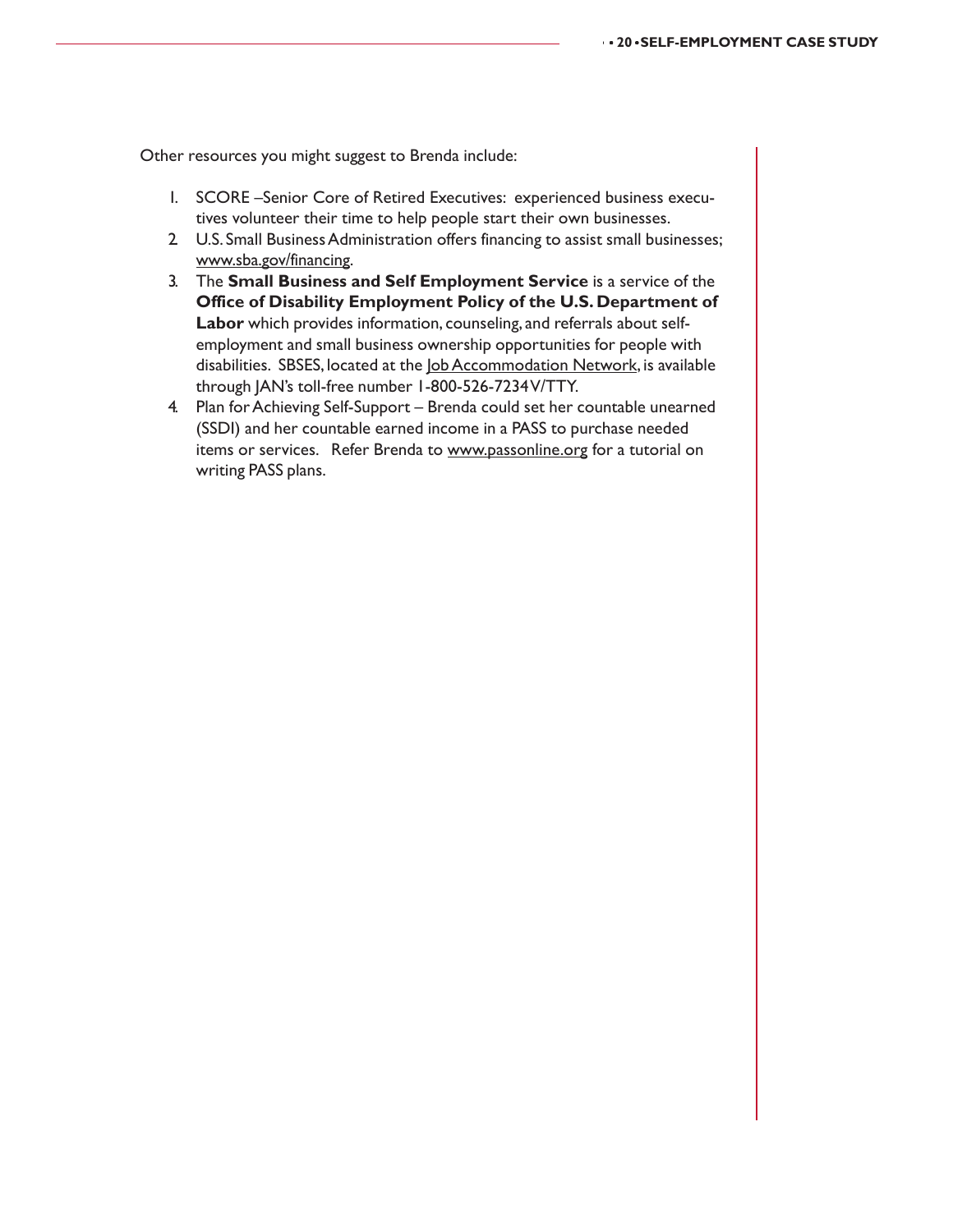Other resources you might suggest to Brenda include:

- 1. SCORE –Senior Core of Retired Executives: experienced business executives volunteer their time to help people start their own businesses.
- 2. U.S. Small Business Administration offers financing to assist small businesses; www.sba.gov/financing.
- 3. The **Small Business and Self Employment Service** is a service of the **Office of Disability Employment Policy of the U.S. Department of Labor** which provides information, counseling, and referrals about selfemployment and small business ownership opportunities for people with disabilities. SBSES, located at the *Job Accommodation Network*, is available through JAN's toll-free number 1-800-526-7234 V/TTY.
- 4. Plan for Achieving Self-Support Brenda could set her countable unearned (SSDI) and her countable earned income in a PASS to purchase needed items or services. Refer Brenda to www.passonline.org for a tutorial on writing PASS plans.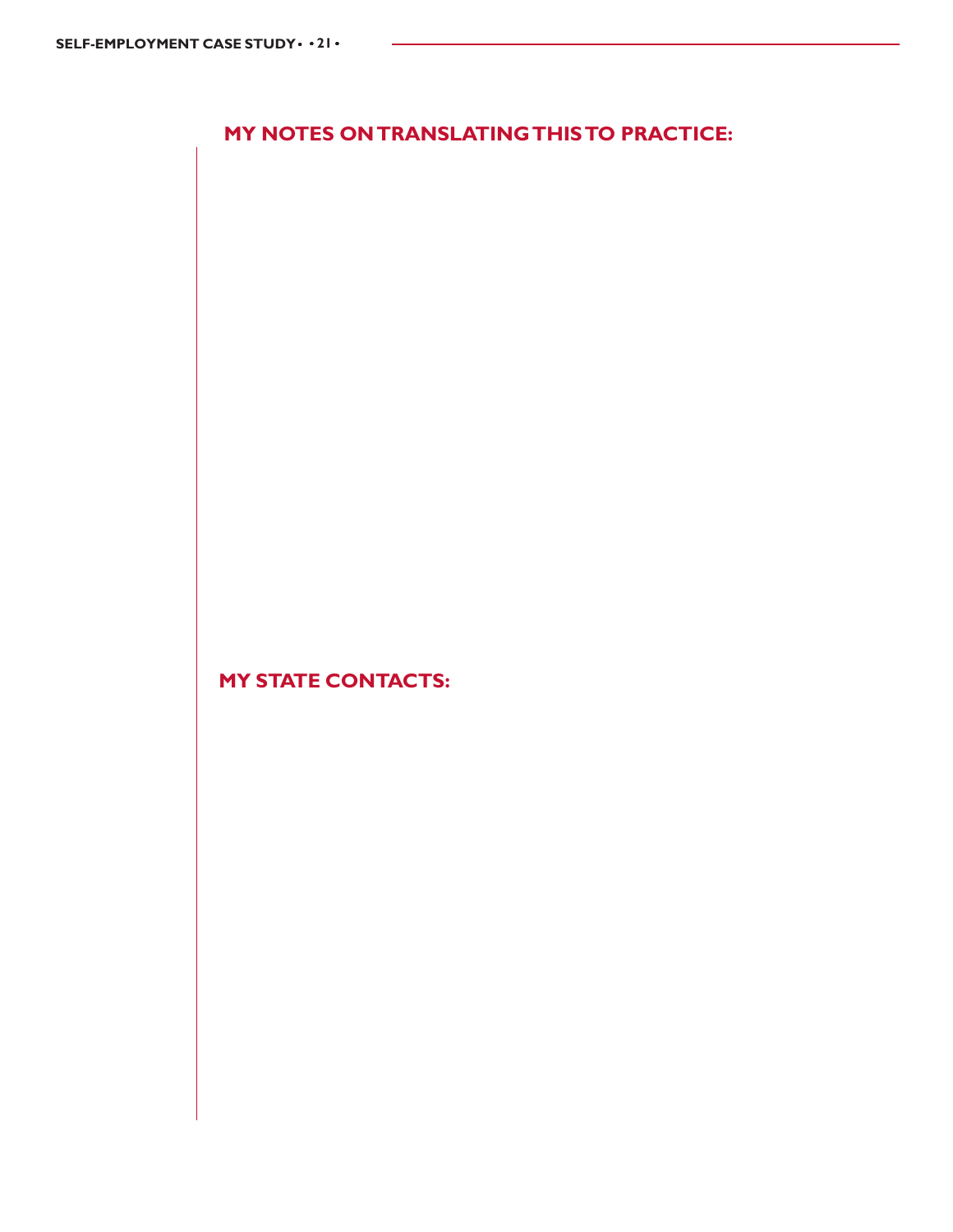# **MY NOTES ON TRANSLATING THIS TO PRACTICE:**

**MY STATE CONTACTS:**